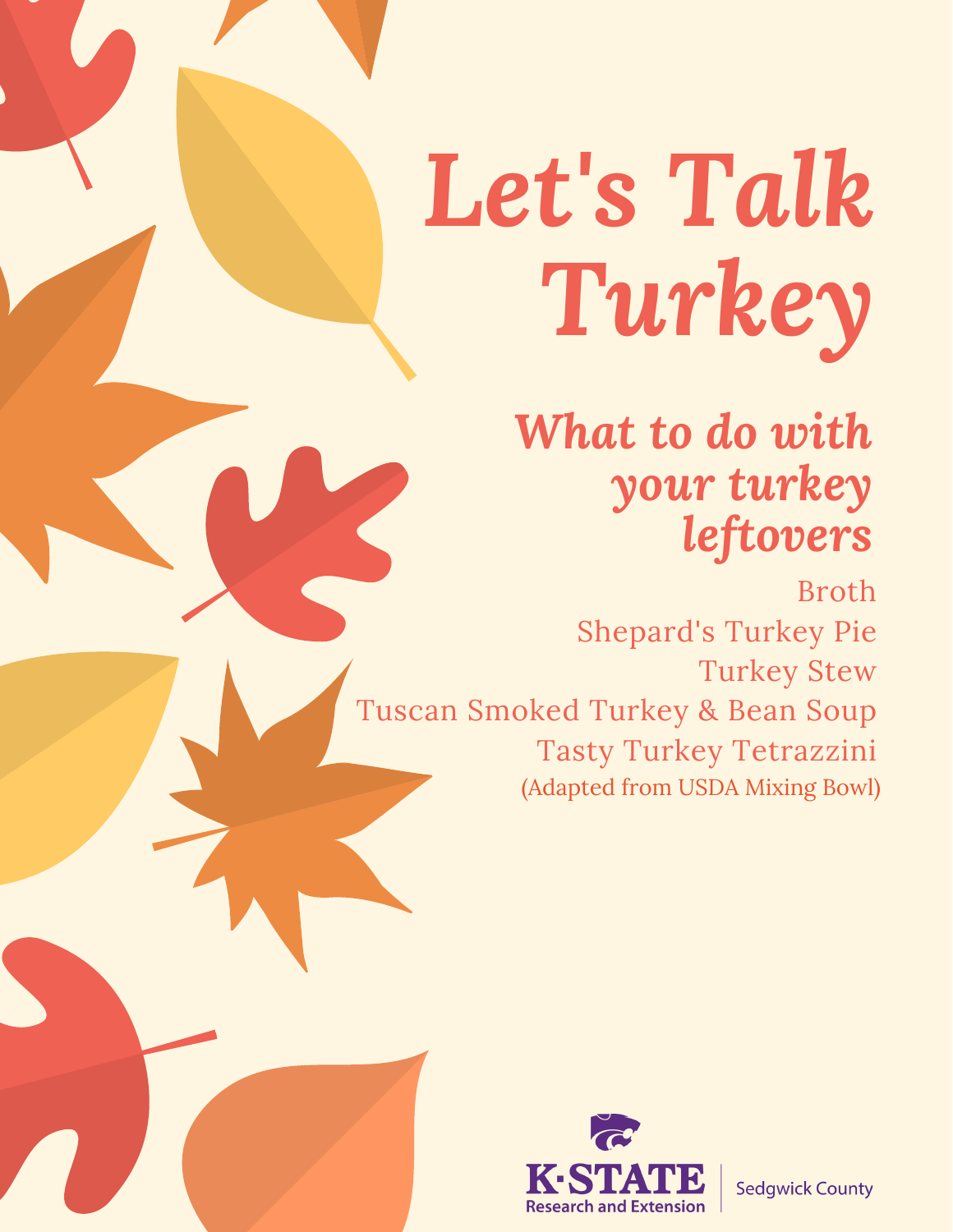# *Let's Talk Turkey*

# *What to do with your turkey leftovers*

Broth Shepard's Turkey Pie Turkey Stew Tuscan Smoked Turkey & Bean Soup Tasty Turkey Tetrazzini (Adapted from USDA Mixing Bowl)



**Sedgwick County**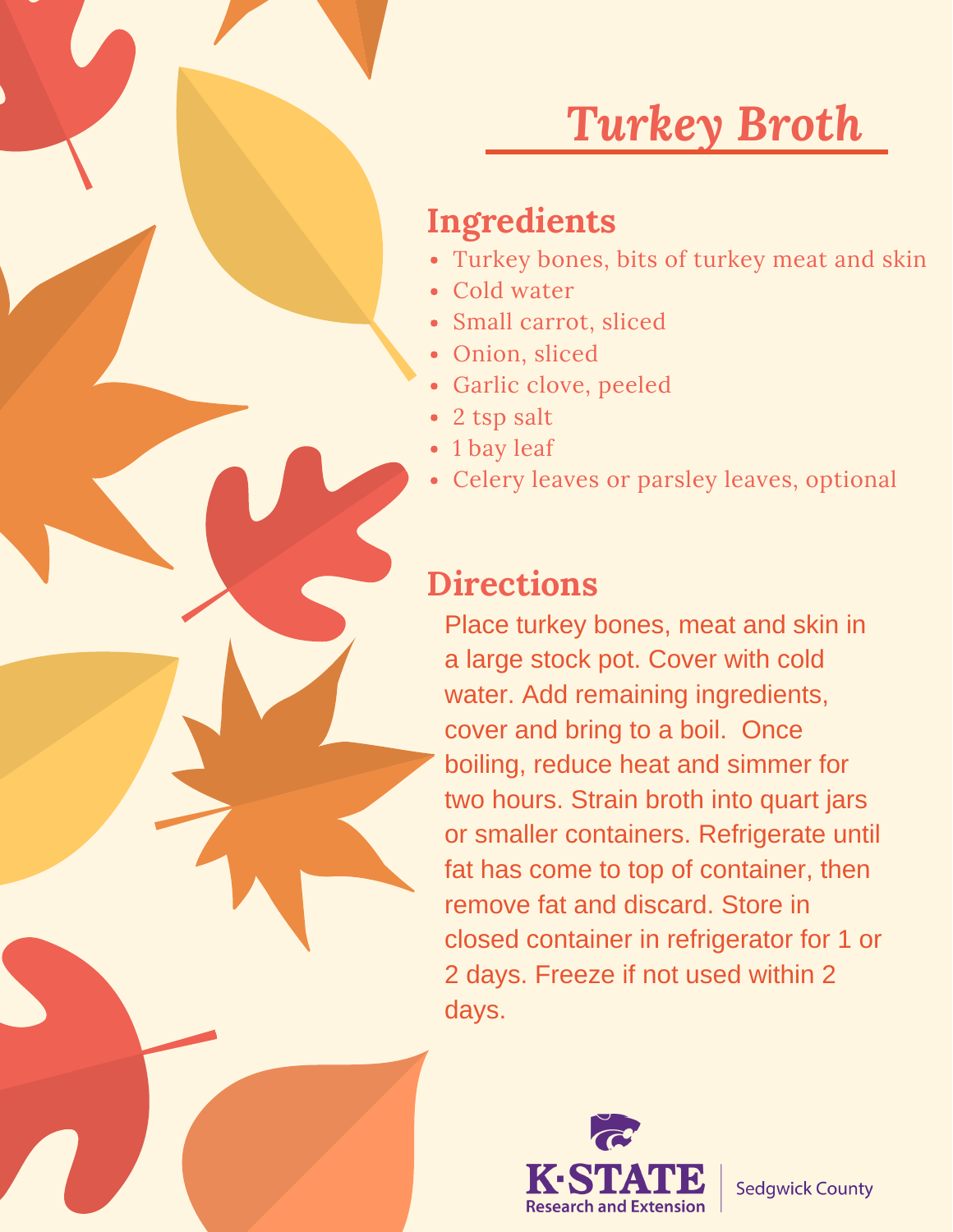# *Turkey Broth*

#### **Ingredients**

- Turkey bones, bits of turkey meat and skin
- Cold water
- Small carrot, sliced
- Onion, sliced
- Garlic clove, peeled
- 2 tsp salt
- 1 bay leaf
- Celery leaves or parsley leaves, optional

#### **Directions**

Place turkey bones, meat and skin in a large stock pot. Cover with cold water. Add remaining ingredients, cover and bring to a boil. Once boiling, reduce heat and simmer for two hours. Strain broth into quart jars or smaller containers. Refrigerate until fat has come to top of container, then remove fat and discard. Store in closed container in refrigerator for 1 or 2 days. Freeze if not used within 2 days.

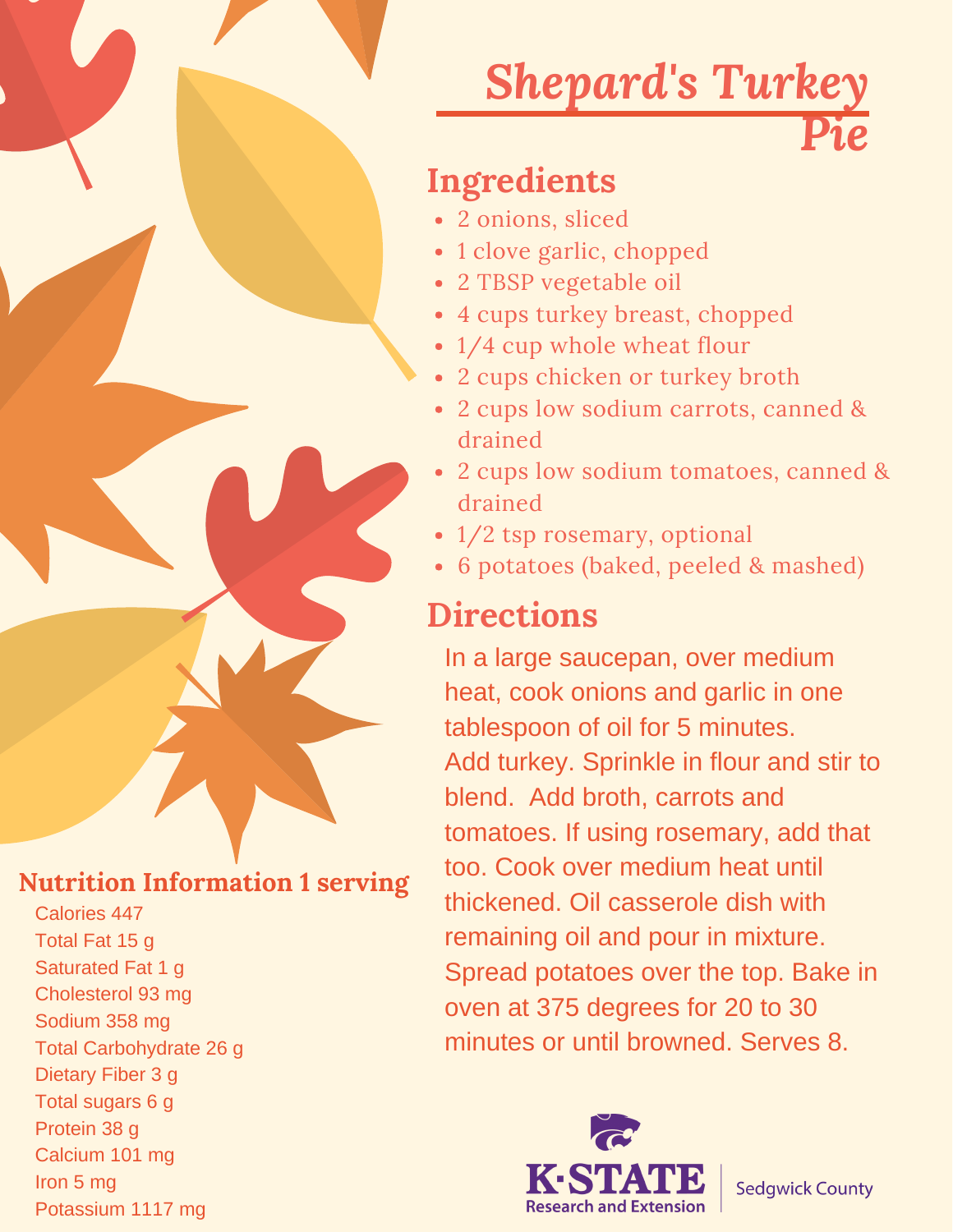# *Shepard's Turkey Pie*

#### **Ingredients**

- 2 onions, sliced
- 1 clove garlic, chopped
- 2 TBSP vegetable oil
- 4 cups turkey breast, chopped
- 1/4 cup whole wheat flour
- 2 cups chicken or turkey broth
- 2 cups low sodium carrots, canned & drained
- 2 cups low sodium tomatoes, canned & drained
- 1/2 tsp rosemary, optional
- 6 potatoes (baked, peeled & mashed)

### **Directions**

In a large saucepan, over medium heat, cook onions and garlic in one tablespoon of oil for 5 minutes. Add turkey. Sprinkle in flour and stir to blend. Add broth, carrots and tomatoes. If using rosemary, add that too. Cook over medium heat until thickened. Oil casserole dish with remaining oil and pour in mixture. Spread potatoes over the top. Bake in oven at 375 degrees for 20 to 30 minutes or until browned. Serves 8.



**Nutrition Information 1 serving**

Calories 447 Total Fat 15 g Saturated Fat 1 g Cholesterol 93 mg Sodium 358 mg Total Carbohydrate 26 g Dietary Fiber 3 g Total sugars 6 g Protein 38 g Calcium 101 mg Iron 5 mg Potassium 1117 mg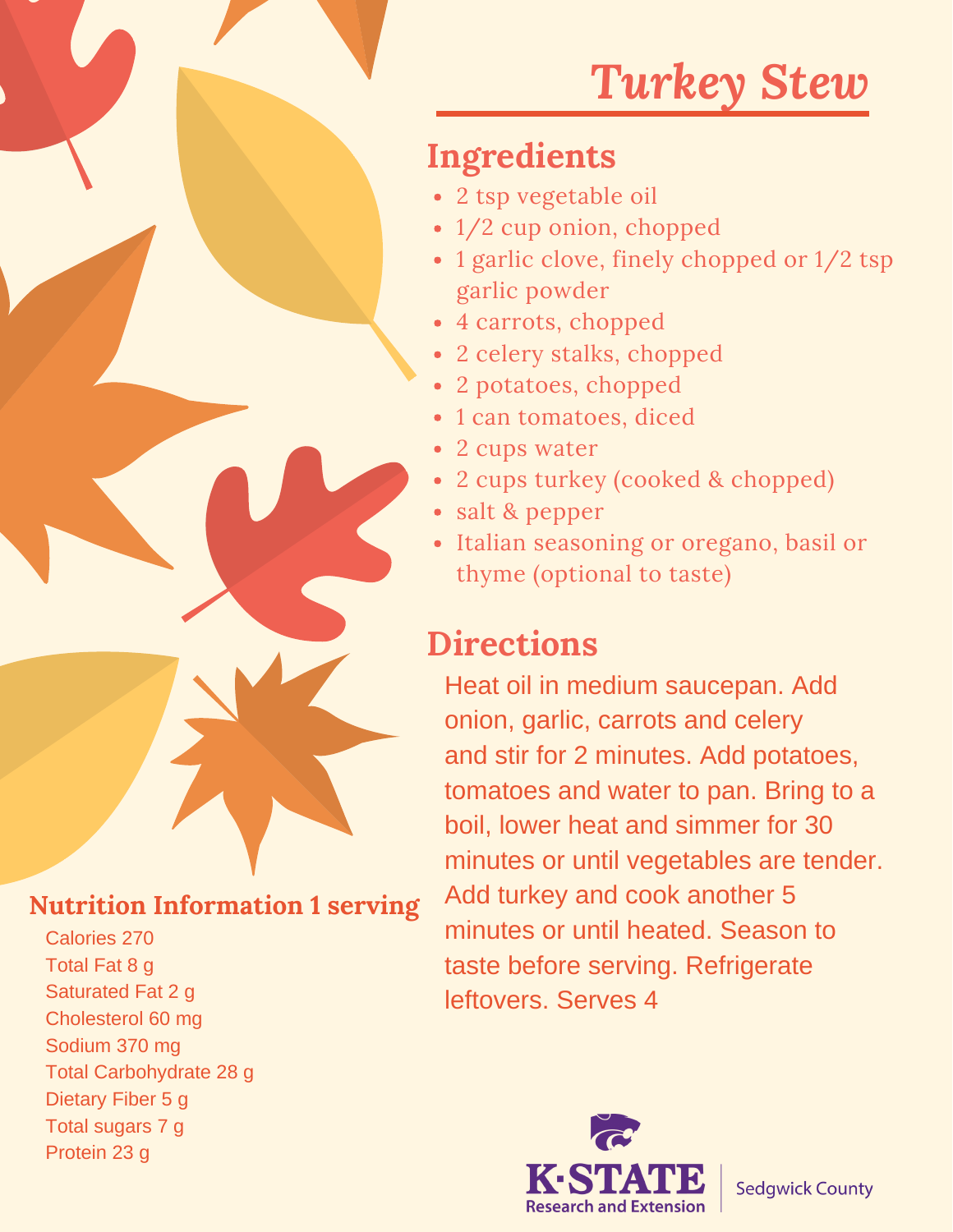# *Turkey Stew*

#### **Ingredients**

- 2 tsp vegetable oil
- 1/2 cup onion, chopped
- 1 garlic clove, finely chopped or  $1/2$  tsp garlic powder
- 4 carrots, chopped
- 2 celery stalks, chopped
- 2 potatoes, chopped
- 1 can tomatoes, diced
- 2 cups water
- 2 cups turkey (cooked & chopped)
- salt & pepper
- Italian seasoning or oregano, basil or thyme (optional to taste)

#### **Directions**

Heat oil in medium saucepan. Add onion, garlic, carrots and celery and stir for 2 minutes. Add potatoes, tomatoes and water to pan. Bring to a boil, lower heat and simmer for 30 minutes or until vegetables are tender. Add turkey and cook another 5 minutes or until heated. Season to taste before serving. Refrigerate leftovers. Serves 4



#### **Nutrition Information 1 serving**

Calories 270 Total Fat 8 g Saturated Fat 2 g Cholesterol 60 mg Sodium 370 mg Total Carbohydrate 28 g Dietary Fiber 5 g Total sugars 7 g Protein 23 g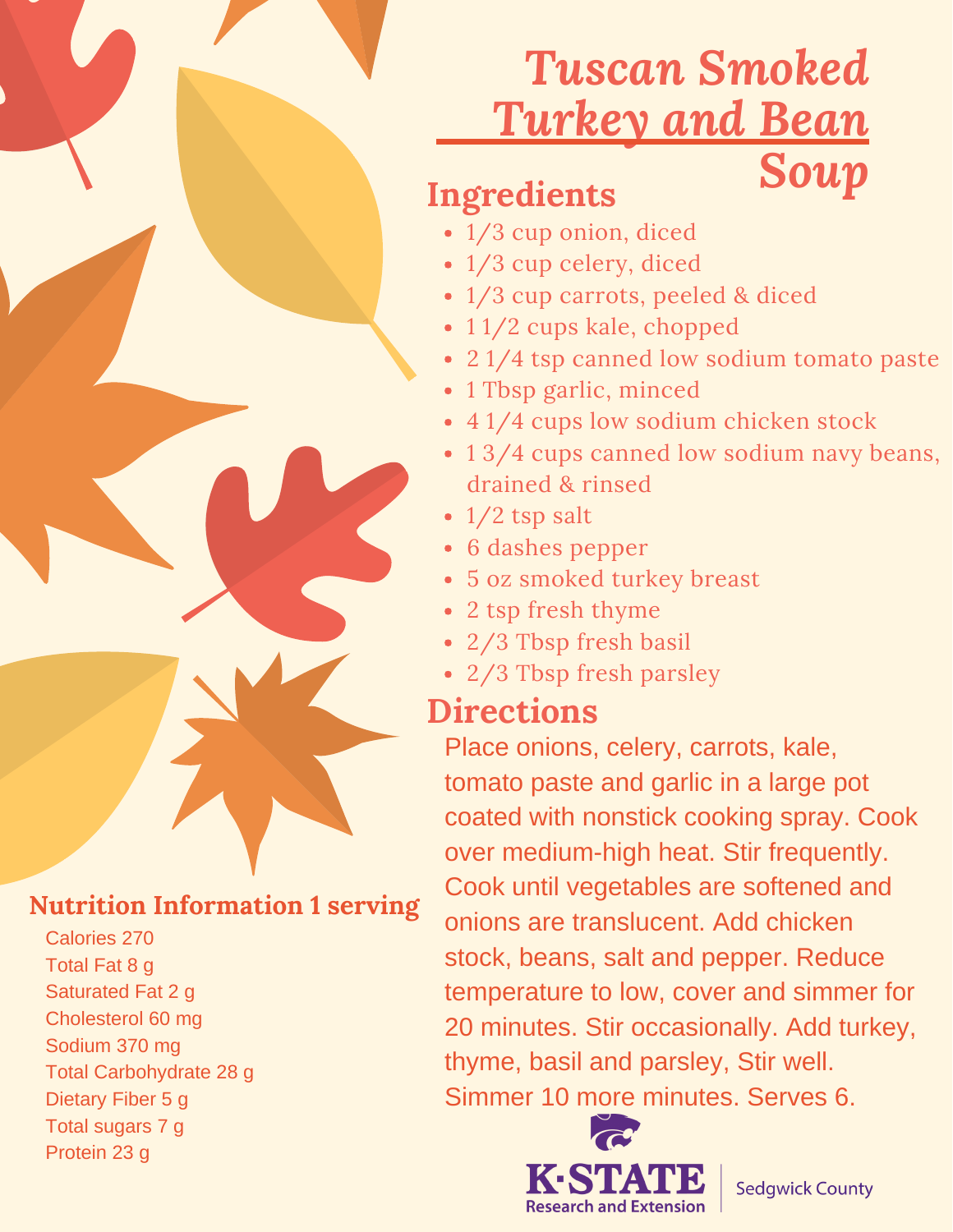## *Tuscan Smoked Turkey and Bean Soup*

#### **Ingredients**

- 1/3 cup onion, diced
- 1/3 cup celery, diced
- 1/3 cup carrots, peeled & diced
- 11/2 cups kale, chopped
- 21/4 tsp canned low sodium tomato paste
- 1 Tbsp garlic, minced
- 4 1/4 cups low sodium chicken stock
- 13/4 cups canned low sodium navy beans, drained & rinsed
- $\cdot$  1/2 tsp salt
- 6 dashes pepper
- 5 oz smoked turkey breast
- 2 tsp fresh thyme
- 2/3 Tbsp fresh basil
- 2/3 Tbsp fresh parsley

#### **Directions**

Place onions, celery, carrots, kale, tomato paste and garlic in a large pot coated with nonstick cooking spray. Cook over medium-high heat. Stir frequently. Cook until vegetables are softened and onions are translucent. Add chicken stock, beans, salt and pepper. Reduce temperature to low, cover and simmer for 20 minutes. Stir occasionally. Add turkey, thyme, basil and parsley, Stir well. Simmer 10 more minutes. Serves 6.



**Sedgwick County** 

#### **Nutrition Information 1 serving**

Calories 270 Total Fat 8 g Saturated Fat 2 g Cholesterol 60 mg Sodium 370 mg Total Carbohydrate 28 g Dietary Fiber 5 g Total sugars 7 g Protein 23 g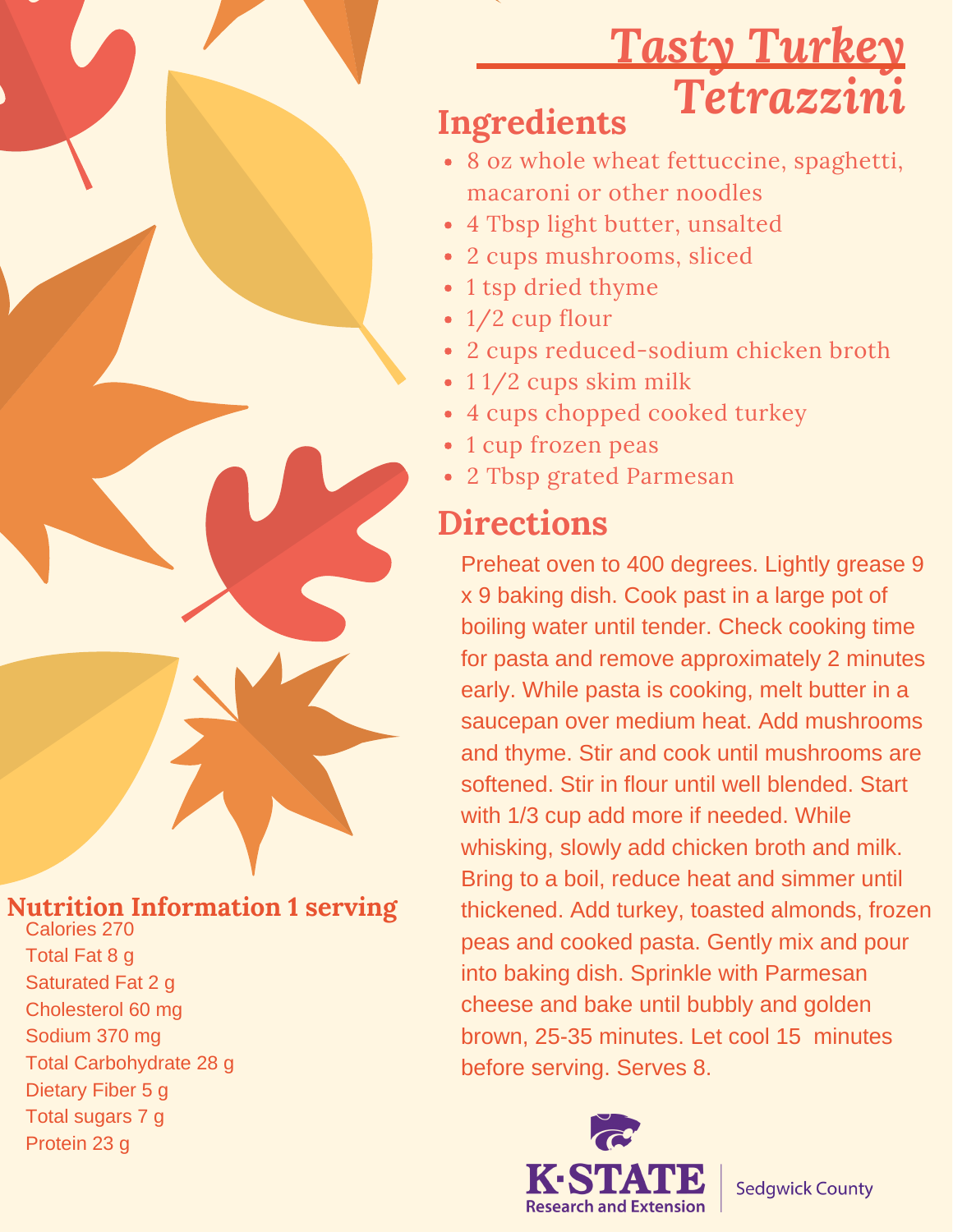# *Tasty Turkey Tetrazzini*

#### **Ingredients**

- 8 oz whole wheat fettuccine, spaghetti, macaroni or other noodles
- 4 Tbsp light butter, unsalted
- 2 cups mushrooms, sliced
- 1 tsp dried thyme
- 1/2 cup flour
- 2 cups reduced-sodium chicken broth
- 11/2 cups skim milk
- 4 cups chopped cooked turkey
- 1 cup frozen peas
- 2 Tbsp grated Parmesan

#### **Directions**

Preheat oven to 400 degrees. Lightly grease 9 x 9 baking dish. Cook past in a large pot of boiling water until tender. Check cooking time for pasta and remove approximately 2 minutes early. While pasta is cooking, melt butter in a saucepan over medium heat. Add mushrooms and thyme. Stir and cook until mushrooms are softened. Stir in flour until well blended. Start with 1/3 cup add more if needed. While whisking, slowly add chicken broth and milk. Bring to a boil, reduce heat and simmer until thickened. Add turkey, toasted almonds, frozen peas and cooked pasta. Gently mix and pour into baking dish. Sprinkle with Parmesan cheese and bake until bubbly and golden brown, 25-35 minutes. Let cool 15 minutes before serving. Serves 8.



**Sedgwick County** 

#### **Nutrition Information 1 serving** Calories 270

Total Fat 8 g Saturated Fat 2 g Cholesterol 60 mg Sodium 370 mg Total Carbohydrate 28 g Dietary Fiber 5 g Total sugars 7 g Protein 23 g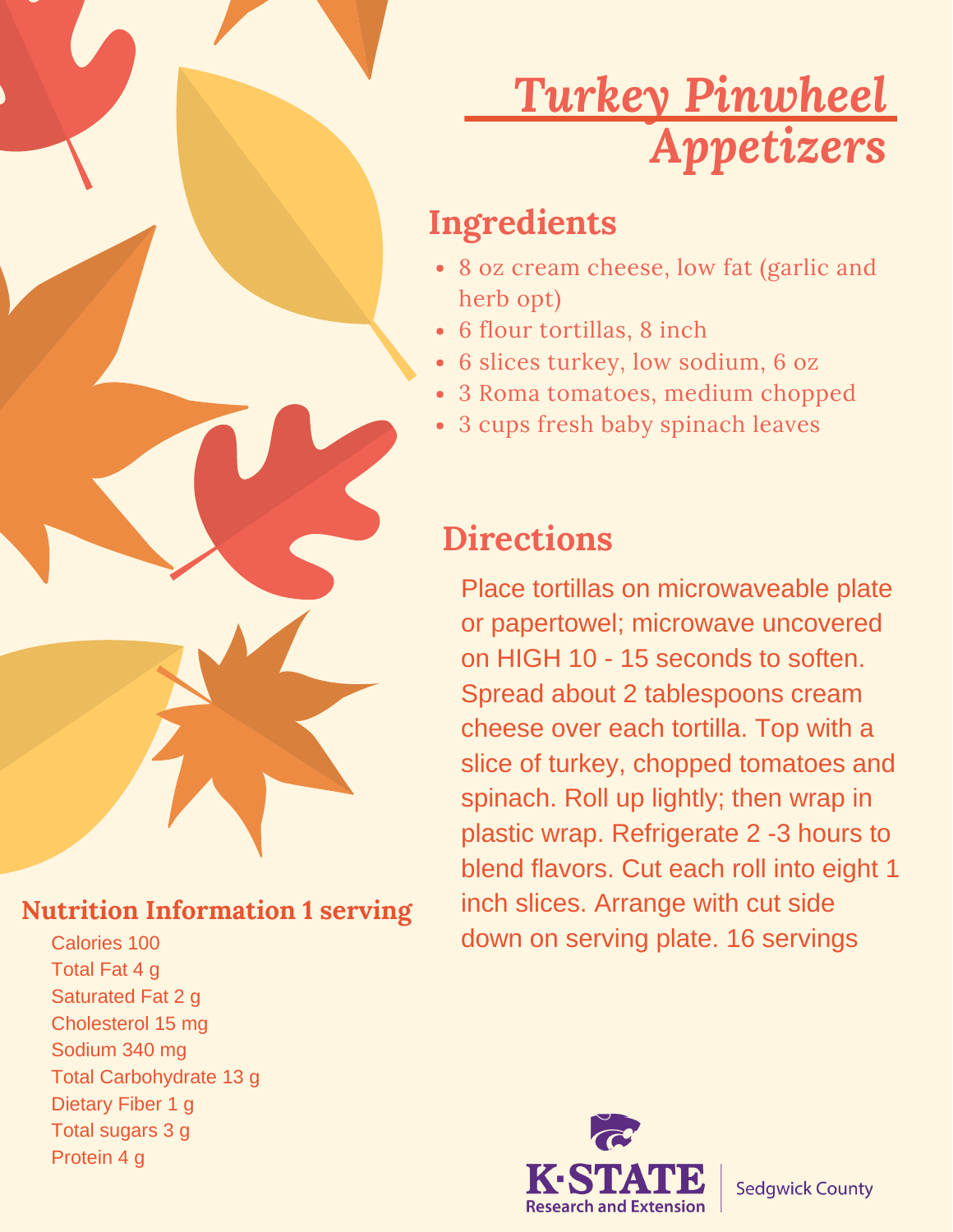# *Turkey Pinwheel Appetizers*

#### **Ingredients**

- 8 oz cream cheese, low fat (garlic and herb opt)
- 6 flour tortillas, 8 inch
- 6 slices turkey, low sodium, 6 oz
- 3 Roma tomatoes, medium chopped
- 3 cups fresh baby spinach leaves

#### **Directions**

Place tortillas on microwaveable plate or papertowel; microwave uncovered on HIGH 10 - 15 seconds to soften. Spread about 2 tablespoons cream cheese over each tortilla. Top with a slice of turkey, chopped tomatoes and spinach. Roll up lightly; then wrap in plastic wrap. Refrigerate 2 -3 hours to blend flavors. Cut each roll into eight 1 inch slices. Arrange with cut side down on serving plate. 16 servings



#### **Nutrition Information 1 serving**

Calories 100 Total Fat 4 g Saturated Fat 2 g Cholesterol 15 mg Sodium 340 mg Total Carbohydrate 13 g Dietary Fiber 1 g Total sugars 3 g Protein 4 g